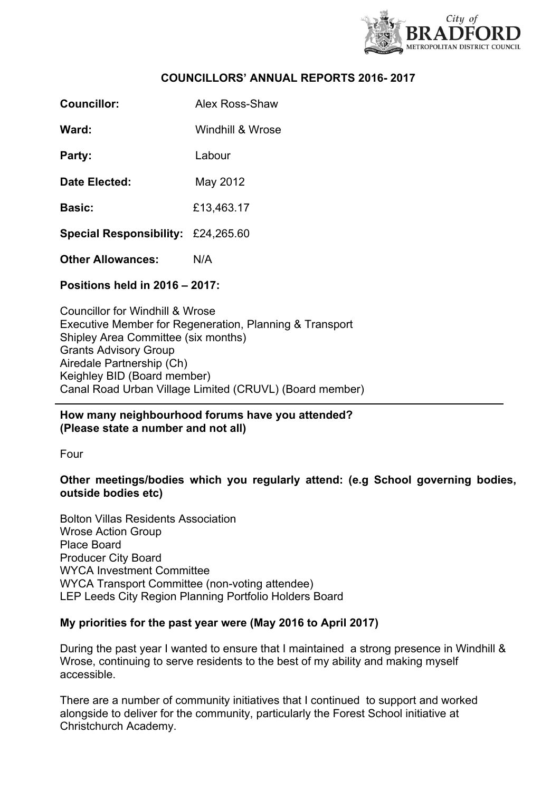

# **COUNCILLORS' ANNUAL REPORTS 2016- 2017**

**Councillor:** Alex Ross-Shaw

**Ward:** Windhill & Wrose

**Party:** Labour

**Date Elected:** May 2012

**Basic:** £13,463.17

**Special Responsibility:** £24,265.60

**Other Allowances:** N/A

**Positions held in 2016 – 2017:**

Councillor for Windhill & Wrose Executive Member for Regeneration, Planning & Transport Shipley Area Committee (six months) Grants Advisory Group Airedale Partnership (Ch) Keighley BID (Board member) Canal Road Urban Village Limited (CRUVL) (Board member)

**How many neighbourhood forums have you attended? (Please state a number and not all)**

Four

**Other meetings/bodies which you regularly attend: (e.g School governing bodies, outside bodies etc)**

Bolton Villas Residents Association Wrose Action Group Place Board Producer City Board WYCA Investment Committee WYCA Transport Committee (non-voting attendee) LEP Leeds City Region Planning Portfolio Holders Board

# **My priorities for the past year were (May 2016 to April 2017)**

During the past year I wanted to ensure that I maintained a strong presence in Windhill & Wrose, continuing to serve residents to the best of my ability and making myself accessible.

There are a number of community initiatives that I continued to support and worked alongside to deliver for the community, particularly the Forest School initiative at Christchurch Academy.